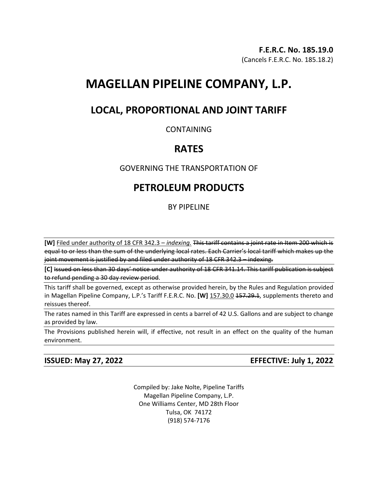# **MAGELLAN PIPELINE COMPANY, L.P.**

## **LOCAL, PROPORTIONAL AND JOINT TARIFF**

### CONTAINING

## **RATES**

### GOVERNING THE TRANSPORTATION OF

## **PETROLEUM PRODUCTS**

### BY PIPELINE

**[W]** Filed under authority of 18 CFR 342.3 – *indexing.* This tariff contains a joint rate in Item 200 which is equal to or less than the sum of the underlying local rates. Each Carrier's local tariff which makes up the joint movement is justified by and filed under authority of 18 CFR 342.3 – indexing.

**[C]** Issued on less than 30 days' notice under authority of 18 CFR 341.14. This tariff publication is subject to refund pending a 30 day review period.

This tariff shall be governed, except as otherwise provided herein, by the Rules and Regulation provided in Magellan Pipeline Company, L.P.'s Tariff F.E.R.C. No. **[W]** 157.30.0 157.29.1, supplements thereto and reissues thereof.

The rates named in this Tariff are expressed in cents a barrel of 42 U.S. Gallons and are subject to change as provided by law.

The Provisions published herein will, if effective, not result in an effect on the quality of the human environment.

**ISSUED: May 27, 2022 EFFECTIVE: July 1, 2022**

Compiled by: Jake Nolte, Pipeline Tariffs Magellan Pipeline Company, L.P. One Williams Center, MD 28th Floor Tulsa, OK 74172 (918) 574-7176